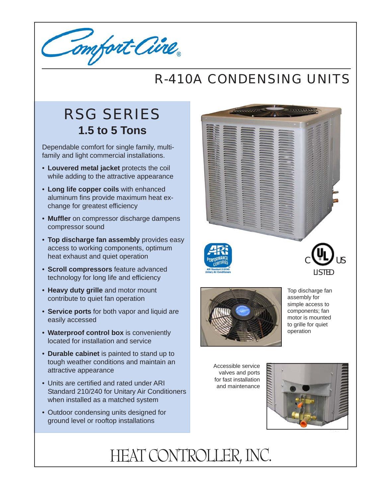Comfort Cine

## R-410A CONDENSING UNITS

## RSG SERIES **1.5 to 5 Tons**

Dependable comfort for single family, multifamily and light commercial installations.

- **Louvered metal jacket** protects the coil while adding to the attractive appearance
- **Long life copper coils** with enhanced aluminum fins provide maximum heat exchange for greatest efficiency
- **Muffler** on compressor discharge dampens compressor sound
- **Top discharge fan assembly** provides easy access to working components, optimum heat exhaust and quiet operation
- **Scroll compressors** feature advanced technology for long life and efficiency
- **Heavy duty grille** and motor mount contribute to quiet fan operation
- **Service ports** for both vapor and liquid are easily accessed
- **Waterproof control box** is conveniently located for installation and service
- **Durable cabinet** is painted to stand up to tough weather conditions and maintain an attractive appearance
- Units are certified and rated under ARI Standard 210/240 for Unitary Air Conditioners when installed as a matched system
- Outdoor condensing units designed for ground level or rooftop installations





Top discharge fan assembly for simple access to components; fan motor is mounted to grille for quiet operation

Accessible service valves and ports for fast installation and maintenance



## HEAT CONTROLLER, INC.